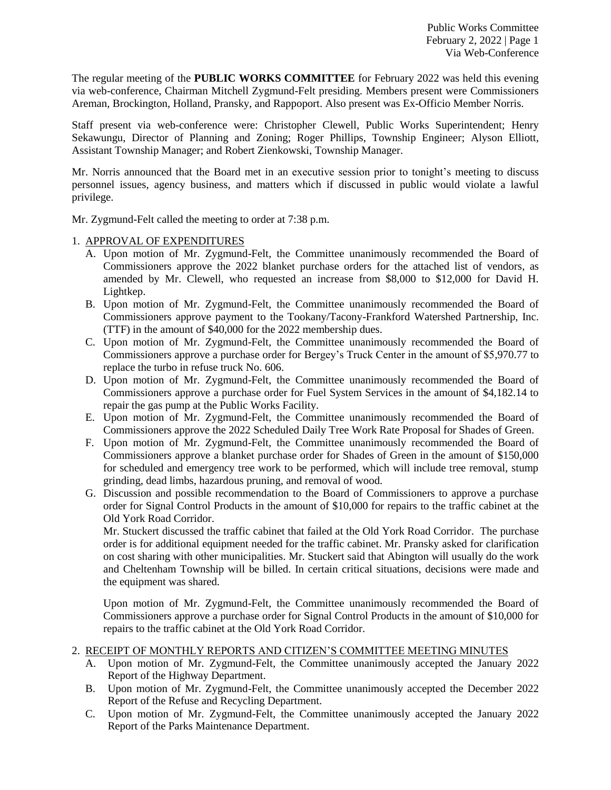The regular meeting of the **PUBLIC WORKS COMMITTEE** for February 2022 was held this evening via web-conference, Chairman Mitchell Zygmund-Felt presiding. Members present were Commissioners Areman, Brockington, Holland, Pransky, and Rappoport. Also present was Ex-Officio Member Norris.

Staff present via web-conference were: Christopher Clewell, Public Works Superintendent; Henry Sekawungu, Director of Planning and Zoning; Roger Phillips, Township Engineer; Alyson Elliott, Assistant Township Manager; and Robert Zienkowski, Township Manager.

Mr. Norris announced that the Board met in an executive session prior to tonight's meeting to discuss personnel issues, agency business, and matters which if discussed in public would violate a lawful privilege.

Mr. Zygmund-Felt called the meeting to order at 7:38 p.m.

## 1. APPROVAL OF EXPENDITURES

- A. Upon motion of Mr. Zygmund-Felt, the Committee unanimously recommended the Board of Commissioners approve the 2022 blanket purchase orders for the attached list of vendors, as amended by Mr. Clewell, who requested an increase from \$8,000 to \$12,000 for David H. Lightkep.
- B. Upon motion of Mr. Zygmund-Felt, the Committee unanimously recommended the Board of Commissioners approve payment to the Tookany/Tacony-Frankford Watershed Partnership, Inc. (TTF) in the amount of \$40,000 for the 2022 membership dues.
- C. Upon motion of Mr. Zygmund-Felt, the Committee unanimously recommended the Board of Commissioners approve a purchase order for Bergey's Truck Center in the amount of \$5,970.77 to replace the turbo in refuse truck No. 606.
- D. Upon motion of Mr. Zygmund-Felt, the Committee unanimously recommended the Board of Commissioners approve a purchase order for Fuel System Services in the amount of \$4,182.14 to repair the gas pump at the Public Works Facility.
- E. Upon motion of Mr. Zygmund-Felt, the Committee unanimously recommended the Board of Commissioners approve the 2022 Scheduled Daily Tree Work Rate Proposal for Shades of Green.
- F. Upon motion of Mr. Zygmund-Felt, the Committee unanimously recommended the Board of Commissioners approve a blanket purchase order for Shades of Green in the amount of \$150,000 for scheduled and emergency tree work to be performed, which will include tree removal, stump grinding, dead limbs, hazardous pruning, and removal of wood.
- G. Discussion and possible recommendation to the Board of Commissioners to approve a purchase order for Signal Control Products in the amount of \$10,000 for repairs to the traffic cabinet at the Old York Road Corridor.

Mr. Stuckert discussed the traffic cabinet that failed at the Old York Road Corridor. The purchase order is for additional equipment needed for the traffic cabinet. Mr. Pransky asked for clarification on cost sharing with other municipalities. Mr. Stuckert said that Abington will usually do the work and Cheltenham Township will be billed. In certain critical situations, decisions were made and the equipment was shared.

Upon motion of Mr. Zygmund-Felt, the Committee unanimously recommended the Board of Commissioners approve a purchase order for Signal Control Products in the amount of \$10,000 for repairs to the traffic cabinet at the Old York Road Corridor.

# 2. RECEIPT OF MONTHLY REPORTS AND CITIZEN'S COMMITTEE MEETING MINUTES

- A. Upon motion of Mr. Zygmund-Felt, the Committee unanimously accepted the January 2022 Report of the Highway Department.
- B. Upon motion of Mr. Zygmund-Felt, the Committee unanimously accepted the December 2022 Report of the Refuse and Recycling Department.
- C. Upon motion of Mr. Zygmund-Felt, the Committee unanimously accepted the January 2022 Report of the Parks Maintenance Department.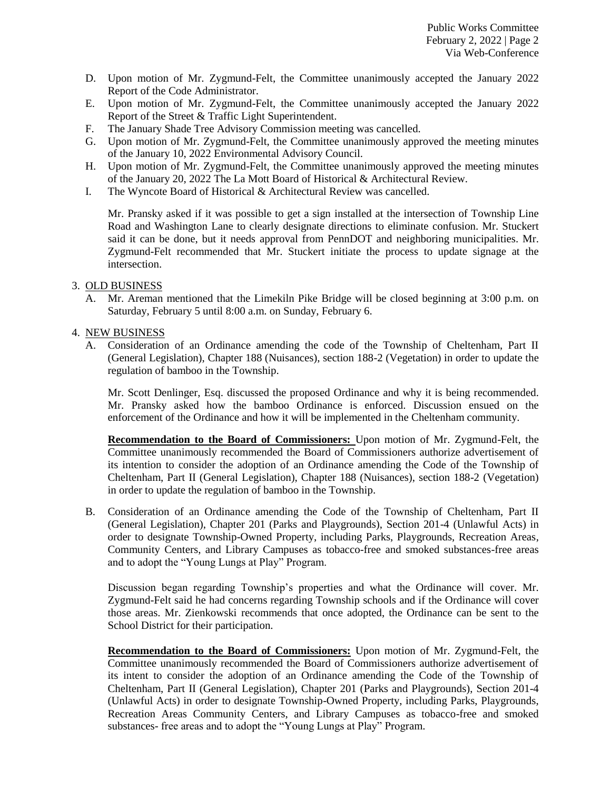- D. Upon motion of Mr. Zygmund-Felt, the Committee unanimously accepted the January 2022 Report of the Code Administrator.
- E. Upon motion of Mr. Zygmund-Felt, the Committee unanimously accepted the January 2022 Report of the Street & Traffic Light Superintendent.
- F. The January Shade Tree Advisory Commission meeting was cancelled.
- G. Upon motion of Mr. Zygmund-Felt, the Committee unanimously approved the meeting minutes of the January 10, 2022 Environmental Advisory Council.
- H. Upon motion of Mr. Zygmund-Felt, the Committee unanimously approved the meeting minutes of the January 20, 2022 The La Mott Board of Historical & Architectural Review.
- I. The Wyncote Board of Historical & Architectural Review was cancelled.

Mr. Pransky asked if it was possible to get a sign installed at the intersection of Township Line Road and Washington Lane to clearly designate directions to eliminate confusion. Mr. Stuckert said it can be done, but it needs approval from PennDOT and neighboring municipalities. Mr. Zygmund-Felt recommended that Mr. Stuckert initiate the process to update signage at the intersection.

### 3. OLD BUSINESS

A. Mr. Areman mentioned that the Limekiln Pike Bridge will be closed beginning at 3:00 p.m. on Saturday, February 5 until 8:00 a.m. on Sunday, February 6.

### 4. NEW BUSINESS

A. Consideration of an Ordinance amending the code of the Township of Cheltenham, Part II (General Legislation), Chapter 188 (Nuisances), section 188-2 (Vegetation) in order to update the regulation of bamboo in the Township.

Mr. Scott Denlinger, Esq. discussed the proposed Ordinance and why it is being recommended. Mr. Pransky asked how the bamboo Ordinance is enforced. Discussion ensued on the enforcement of the Ordinance and how it will be implemented in the Cheltenham community.

**Recommendation to the Board of Commissioners:** Upon motion of Mr. Zygmund-Felt, the Committee unanimously recommended the Board of Commissioners authorize advertisement of its intention to consider the adoption of an Ordinance amending the Code of the Township of Cheltenham, Part II (General Legislation), Chapter 188 (Nuisances), section 188-2 (Vegetation) in order to update the regulation of bamboo in the Township.

B. Consideration of an Ordinance amending the Code of the Township of Cheltenham, Part II (General Legislation), Chapter 201 (Parks and Playgrounds), Section 201-4 (Unlawful Acts) in order to designate Township-Owned Property, including Parks, Playgrounds, Recreation Areas, Community Centers, and Library Campuses as tobacco-free and smoked substances-free areas and to adopt the "Young Lungs at Play" Program.

Discussion began regarding Township's properties and what the Ordinance will cover. Mr. Zygmund-Felt said he had concerns regarding Township schools and if the Ordinance will cover those areas. Mr. Zienkowski recommends that once adopted, the Ordinance can be sent to the School District for their participation.

**Recommendation to the Board of Commissioners:** Upon motion of Mr. Zygmund-Felt, the Committee unanimously recommended the Board of Commissioners authorize advertisement of its intent to consider the adoption of an Ordinance amending the Code of the Township of Cheltenham, Part II (General Legislation), Chapter 201 (Parks and Playgrounds), Section 201-4 (Unlawful Acts) in order to designate Township-Owned Property, including Parks, Playgrounds, Recreation Areas Community Centers, and Library Campuses as tobacco-free and smoked substances- free areas and to adopt the "Young Lungs at Play" Program.